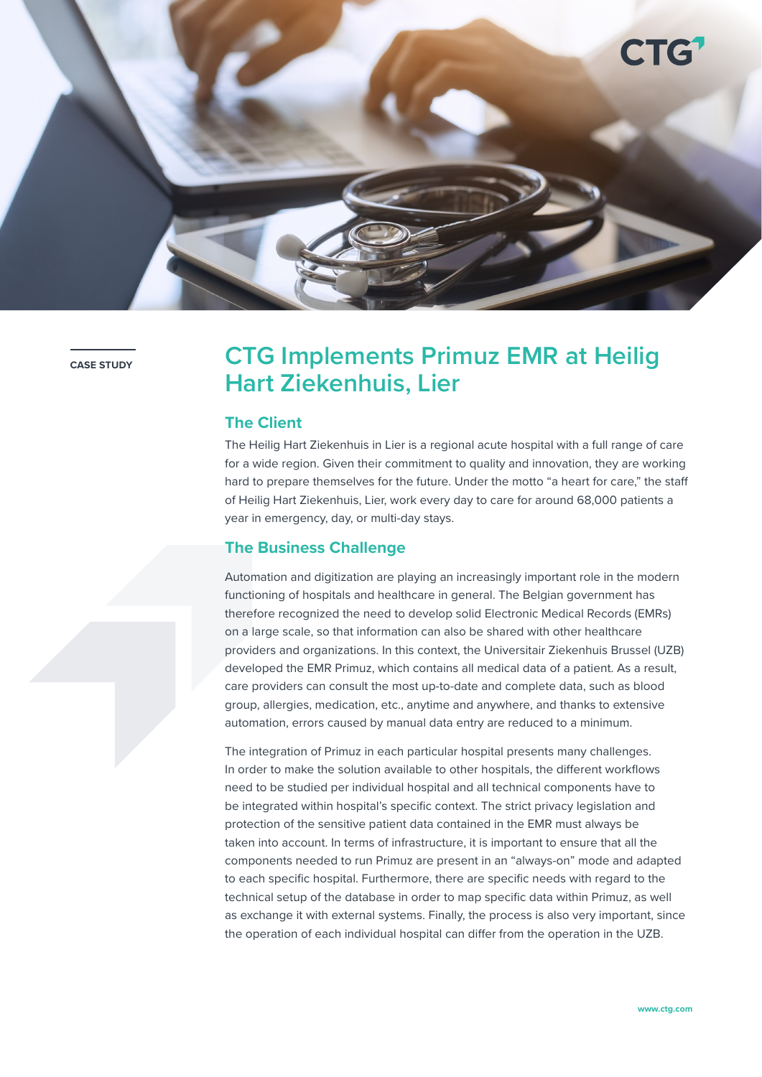

# **CASE STIDY CTG Implements Primuz EMR at Heilig Hart Ziekenhuis, Lier**

## **The Client**

The Heilig Hart Ziekenhuis in Lier is a regional acute hospital with a full range of care for a wide region. Given their commitment to quality and innovation, they are working hard to prepare themselves for the future. Under the motto "a heart for care," the staff of Heilig Hart Ziekenhuis, Lier, work every day to care for around 68,000 patients a year in emergency, day, or multi-day stays.

### **The Business Challenge**

Automation and digitization are playing an increasingly important role in the modern functioning of hospitals and healthcare in general. The Belgian government has therefore recognized the need to develop solid Electronic Medical Records (EMRs) on a large scale, so that information can also be shared with other healthcare providers and organizations. In this context, the Universitair Ziekenhuis Brussel (UZB) developed the EMR Primuz, which contains all medical data of a patient. As a result, care providers can consult the most up-to-date and complete data, such as blood group, allergies, medication, etc., anytime and anywhere, and thanks to extensive automation, errors caused by manual data entry are reduced to a minimum.

The integration of Primuz in each particular hospital presents many challenges. In order to make the solution available to other hospitals, the different workflows need to be studied per individual hospital and all technical components have to be integrated within hospital's specific context. The strict privacy legislation and protection of the sensitive patient data contained in the EMR must always be taken into account. In terms of infrastructure, it is important to ensure that all the components needed to run Primuz are present in an "always-on" mode and adapted to each specific hospital. Furthermore, there are specific needs with regard to the technical setup of the database in order to map specific data within Primuz, as well as exchange it with external systems. Finally, the process is also very important, since the operation of each individual hospital can differ from the operation in the UZB.